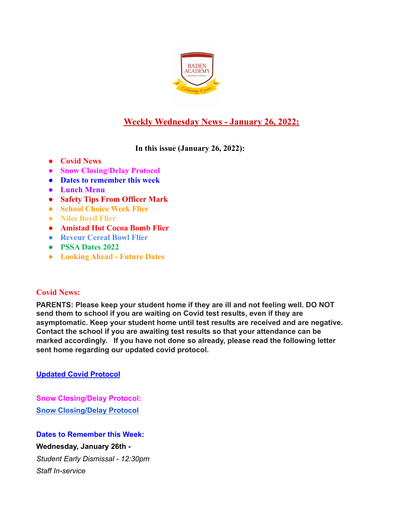

# **Weekly Wednesday News - January 26, 2022:**

**In this issue (January 26, 2022):**

- **● Covid News**
- **● Snow Closing/Delay Protocol**
- **● Dates to remember this week**
- **● Lunch Menu**
- **● Safety Tips From Officer Mark**
- **● School Choice Week Flier**
- **● Niles Boyd Flier**
- **● Amistad Hot Cocoa Bomb Flier**
- **● Reveur Cereal Bowl Flier**
- **● PSSA Dates 2022**
- **● Looking Ahead Future Dates**

## **Covid News:**

**PARENTS: Please keep your student home if they are ill and not feeling well. DO NOT send them to school if you are waiting on Covid test results, even if they are asymptomatic. Keep your student home until test results are received and are negative. Contact the school if you are awaiting test results so that your attendance can be marked accordingly. If you have not done so already, please read the following letter sent home regarding our updated covid protocol.**

**Updated Covid [Protocol](https://docs.google.com/document/d/1MZOfqQyHxK0uiJCWtP7Aq6GAK19-1s4aJ-rMMfStPco/edit?usp=sharing)**

**Snow Closing/Delay Protocol: Snow [Closing/Delay](https://docs.google.com/document/d/1TCXw_1OpX5C2j8ZTfeD61I61bbe-MxUwfsijlciAKfo/edit?usp=sharing) Protocol**

**Dates to Remember this Week: Wednesday, January 26th -** *Student Early Dismissal - 12:30pm Staff In-service*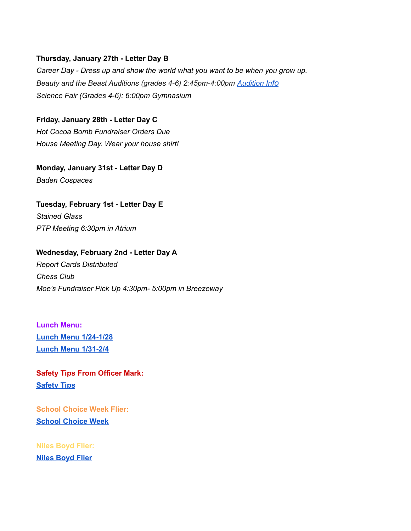#### **Thursday, January 27th - Letter Day B**

*Career Day - Dress up and show the world what you want to be when you grow up. Beauty and the Beast Auditions (grades 4-6) 2:45pm-4:00pm [Audition](https://docs.google.com/document/d/1QUWpEFryvRC6hqilpH4axueAP5UH9GHZzilB0WiLyJ8/edit?usp=sharing) Info Science Fair (Grades 4-6): 6:00pm Gymnasium*

**Friday, January 28th - Letter Day C** *Hot Cocoa Bomb Fundraiser Orders Due House Meeting Day. Wear your house shirt!*

**Monday, January 31st - Letter Day D** *Baden Cospaces*

**Tuesday, February 1st - Letter Day E** *Stained Glass PTP Meeting 6:30pm in Atrium*

**Wednesday, February 2nd - Letter Day A** *Report Cards Distributed Chess Club Moe's Fundraiser Pick Up 4:30pm- 5:00pm in Breezeway*

**Lunch Menu: Lunch Menu [1/24-1/28](https://docs.google.com/document/d/1jyvkyvxWEhhUcUfcFZZ5cSitt_kI9F_UuFyD-iqE2iA/edit?usp=sharing) Lunch Menu [1/31-2/4](https://docs.google.com/document/d/1o8qTok8VHrOGBce_ivt6uMG9sh9BEDZDPFQGmlCdeVk/edit?usp=sharing)**

**Safety Tips From Officer Mark: [Safety](https://docs.google.com/document/d/1o8qTok8VHrOGBce_ivt6uMG9sh9BEDZDPFQGmlCdeVk/edit?usp=sharing) Tips**

**School Choice Week Flier: School [Choice](https://docs.google.com/document/d/1z7SjFrKdy4j4hIiYIo1qSvDh0M61E8e-AYJeb8zOWSI/edit?usp=sharing) Week**

**Niles Boyd Flier: Niles [Boyd](https://bit.ly/3zTq6vl) Flier**